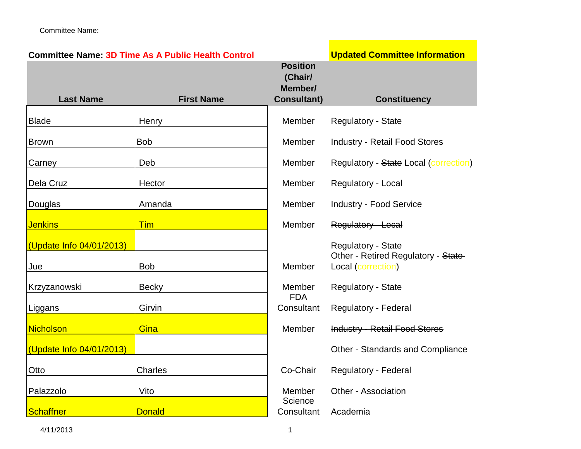|                          | <b>Committee Name: 3D Time As A Public Health Control</b> |                                                             | <b>Updated Committee Information</b>                      |
|--------------------------|-----------------------------------------------------------|-------------------------------------------------------------|-----------------------------------------------------------|
| <b>Last Name</b>         | <b>First Name</b>                                         | <b>Position</b><br>(Chair/<br>Member/<br><b>Consultant)</b> | <b>Constituency</b>                                       |
| <b>Blade</b>             | Henry                                                     | Member                                                      | <b>Regulatory - State</b>                                 |
| <b>Brown</b>             | <b>Bob</b>                                                | Member                                                      | <b>Industry - Retail Food Stores</b>                      |
| Carney                   | Deb                                                       | Member                                                      | <b>Regulatory - State Local (correction)</b>              |
| Dela Cruz                | Hector                                                    | Member                                                      | Regulatory - Local                                        |
| Douglas                  | Amanda                                                    | <b>Member</b>                                               | <b>Industry - Food Service</b>                            |
| <b>Jenkins</b>           | <b>Tim</b>                                                | Member                                                      | Regulatory - Local                                        |
| (Update Info 04/01/2013) |                                                           |                                                             | <b>Regulatory - State</b>                                 |
| Jue                      | <b>Bob</b>                                                | Member                                                      | Other - Retired Regulatory - State-<br>Local (correction) |
| Krzyzanowski             | <b>Becky</b>                                              | Member<br><b>FDA</b>                                        | <b>Regulatory - State</b>                                 |
| Liggans                  | Girvin                                                    | Consultant                                                  | Regulatory - Federal                                      |
| <b>Nicholson</b>         | Gina                                                      | Member                                                      | <b>Industry - Retail Food Stores</b>                      |
| (Update Info 04/01/2013) |                                                           |                                                             | Other - Standards and Compliance                          |
| Otto                     | Charles                                                   | Co-Chair                                                    | Regulatory - Federal                                      |
| Palazzolo                | Vito                                                      | Member                                                      | Other - Association                                       |
| Schaffner                | <b>Donald</b>                                             | Science<br>Consultant                                       | Academia                                                  |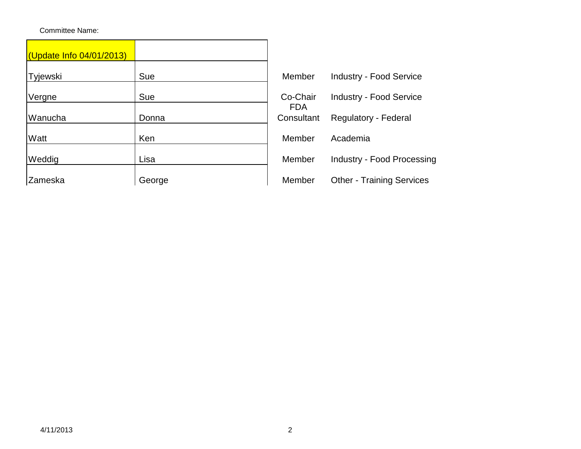| (Update Info 04/01/2013) |        |                        |                                   |
|--------------------------|--------|------------------------|-----------------------------------|
| Tyjewski                 | Sue    | Member                 | <b>Industry - Food Service</b>    |
| Vergne                   | Sue    | Co-Chair<br><b>FDA</b> | <b>Industry - Food Service</b>    |
| Wanucha                  | Donna  | Consultant             | Regulatory - Federal              |
| Watt                     | Ken    | Member                 | Academia                          |
| Weddig                   | Lisa   | Member                 | <b>Industry - Food Processing</b> |
| Zameska                  | George | Member                 | <b>Other - Training Services</b>  |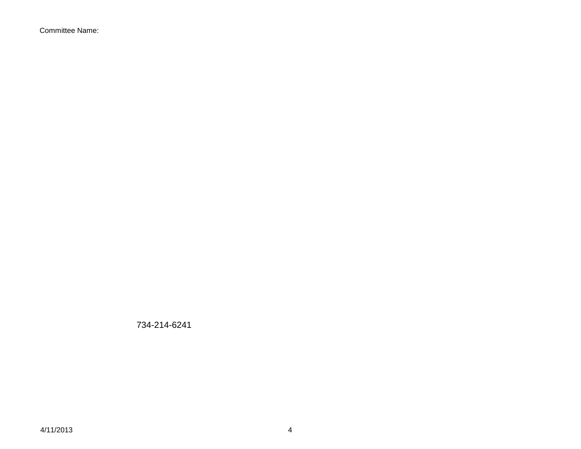734-214-6241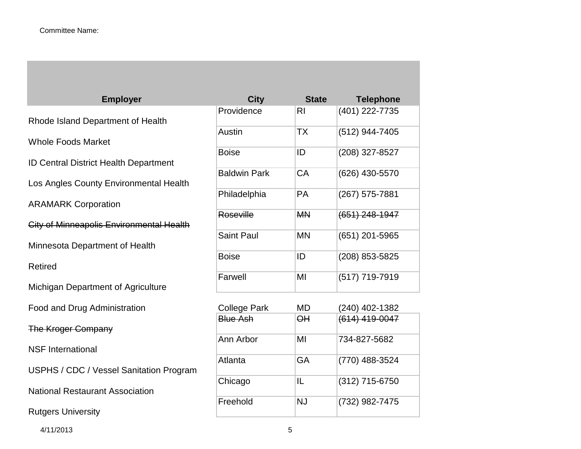**Employer** Rhode Island Department of Health Whole Foods Market ID Central District Health Department Los Angles County Environmental Health ARAMARK Corporation City of Minneapolis Environmental Health Minnesota Department of Health Retired Michigan Department of Agriculture Food and Drug Administration The Kroger Company NSF International USPHS / CDC / Vessel Sanitation Program National Restaurant Association Rutgers University

| <b>City</b>         | <b>State</b> | <b>Telephone</b> |
|---------------------|--------------|------------------|
| Providence          | RI           | (401) 222-7735   |
| Austin              | <b>TX</b>    | (512) 944-7405   |
| <b>Boise</b>        | ID           | (208) 327-8527   |
| <b>Baldwin Park</b> | CA           | (626) 430-5570   |
| Philadelphia        | PA           | (267) 575-7881   |
| Roseville           | <b>MN</b>    | (651) 248-1947   |
| <b>Saint Paul</b>   | <b>MN</b>    | (651) 201-5965   |
| <b>Boise</b>        | ID           | (208) 853-5825   |
| Farwell             | MI           | (517) 719-7919   |
| <b>College Park</b> | MD           | (240) 402-1382   |
| <b>Blue Ash</b>     | $\Theta$ H   | (614) 419-0047   |
| Ann Arbor           | MI           | 734-827-5682     |
| Atlanta             | GA           | (770) 488-3524   |
| Chicago             | IL           | (312) 715-6750   |
| Freehold            | <b>NJ</b>    | (732) 982-7475   |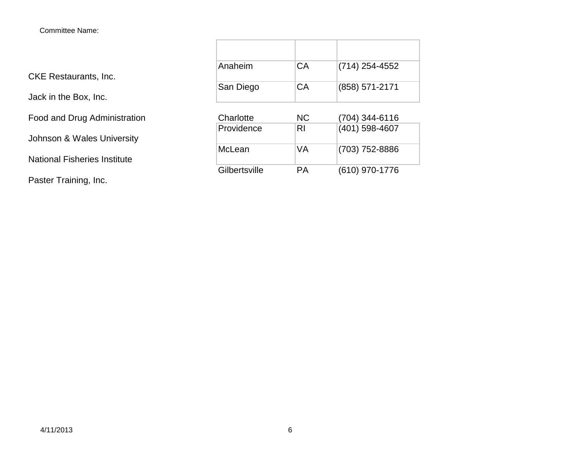CKE Restaurants, Inc.

Jack in the Box, Inc.

Food and Drug Administration

Johnson & Wales University

National Fisheries Institute

Paster Training, Inc.

| Anaheim   | CA        | $(714)$ 254-4552 |
|-----------|-----------|------------------|
| San Diego | CA        | (858) 571-2171   |
| Charlotte | <b>NC</b> | (704) 344-6116   |
|           |           |                  |

| Providence    | RI | (401) 598-4607   |
|---------------|----|------------------|
| McLean        | VA | (703) 752-8886   |
| Gilbertsville | PΑ | $(610)$ 970-1776 |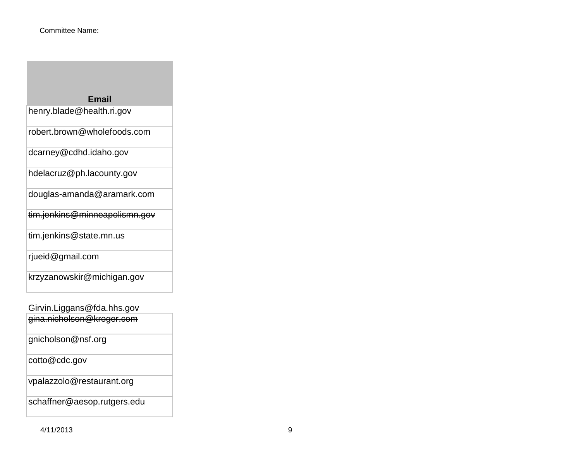| <b>Email</b>                  |
|-------------------------------|
| henry.blade@health.ri.gov     |
| robert.brown@wholefoods.com   |
| dcarney@cdhd.idaho.gov        |
| hdelacruz@ph.lacounty.gov     |
| douglas-amanda@aramark.com    |
| tim.jenkins@minneapolismn.gov |
| tim.jenkins@state.mn.us       |
| rjueid@gmail.com              |
| krzyzanowskir@michigan.gov    |
|                               |

Girvin.Liggans@fda.hhs.gov gina.nicholson@kroger.com

| gina.monoison@wogon.com     |
|-----------------------------|
| gnicholson@nsf.org          |
| cotto@cdc.gov               |
| vpalazzolo@restaurant.org   |
| schaffner@aesop.rutgers.edu |